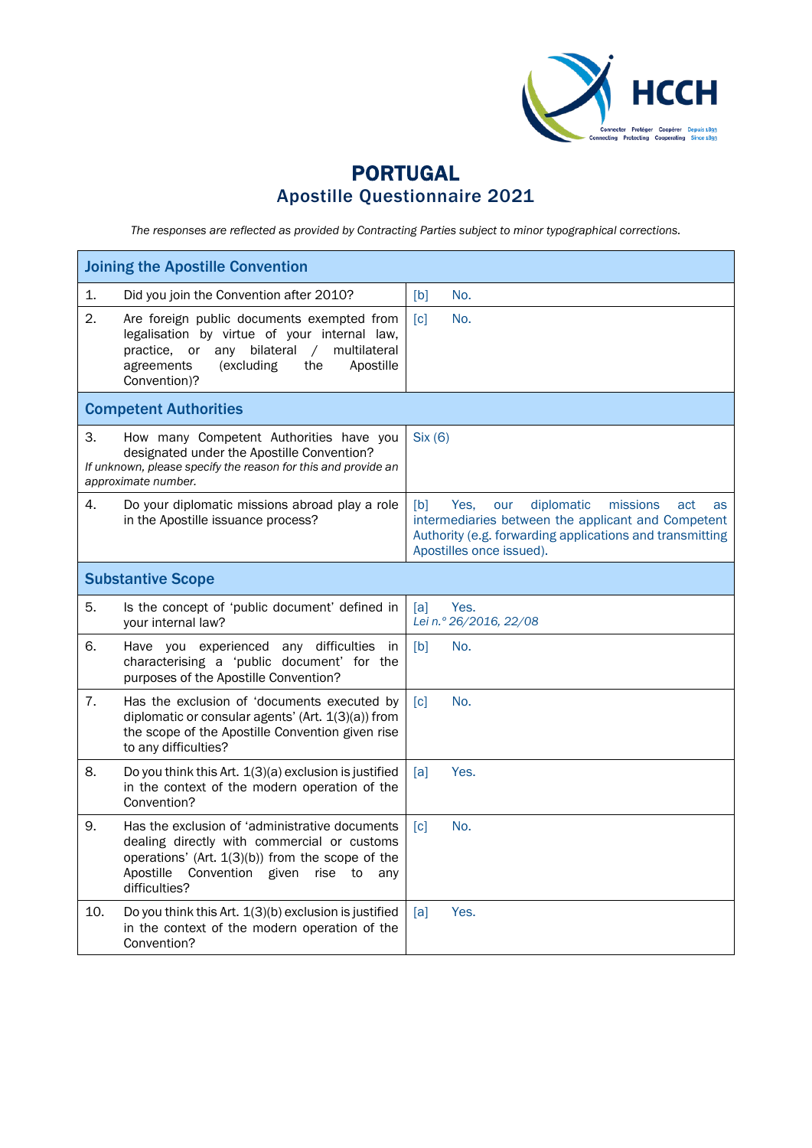

## PORTUGAL Apostille Questionnaire 2021

*The responses are reflected as provided by Contracting Parties subject to minor typographical corrections.*

| <b>Joining the Apostille Convention</b>                                                                                                                                                                                              |                                                                                                                                                                                                         |  |  |
|--------------------------------------------------------------------------------------------------------------------------------------------------------------------------------------------------------------------------------------|---------------------------------------------------------------------------------------------------------------------------------------------------------------------------------------------------------|--|--|
| 1.<br>Did you join the Convention after 2010?                                                                                                                                                                                        | No.<br>[b]                                                                                                                                                                                              |  |  |
| 2.<br>Are foreign public documents exempted from<br>legalisation by virtue of your internal law,<br>any bilateral<br>multilateral<br>practice.<br>or<br>$\sqrt{2}$<br>(excluding<br>the<br>Apostille<br>agreements<br>Convention)?   | [c]<br>No.                                                                                                                                                                                              |  |  |
| <b>Competent Authorities</b>                                                                                                                                                                                                         |                                                                                                                                                                                                         |  |  |
| З.<br>How many Competent Authorities have you<br>designated under the Apostille Convention?<br>If unknown, please specify the reason for this and provide an<br>approximate number.                                                  | Six (6)                                                                                                                                                                                                 |  |  |
| 4.<br>Do your diplomatic missions abroad play a role<br>in the Apostille issuance process?                                                                                                                                           | [b]<br>Yes.<br>diplomatic<br>missions<br>act<br>our<br>as<br>intermediaries between the applicant and Competent<br>Authority (e.g. forwarding applications and transmitting<br>Apostilles once issued). |  |  |
| <b>Substantive Scope</b>                                                                                                                                                                                                             |                                                                                                                                                                                                         |  |  |
| 5.<br>Is the concept of 'public document' defined in<br>your internal law?                                                                                                                                                           | Yes.<br>[a]<br>Lei n.º 26/2016, 22/08                                                                                                                                                                   |  |  |
| 6.<br>Have you experienced any difficulties<br>in<br>characterising a 'public document' for the<br>purposes of the Apostille Convention?                                                                                             | [b]<br>No.                                                                                                                                                                                              |  |  |
| 7.<br>Has the exclusion of 'documents executed by<br>diplomatic or consular agents' (Art. $1(3)(a)$ ) from<br>the scope of the Apostille Convention given rise<br>to any difficulties?                                               | No.<br>$\lceil c \rceil$                                                                                                                                                                                |  |  |
| 8.<br>Do you think this Art. 1(3)(a) exclusion is justified<br>in the context of the modern operation of the<br>Convention?                                                                                                          | [a]<br>Yes.                                                                                                                                                                                             |  |  |
| 9.<br>Has the exclusion of 'administrative documents<br>dealing directly with commercial or customs<br>operations' (Art. $1(3)(b)$ ) from the scope of the<br>Convention<br>Apostille<br>given<br>rise<br>to<br>any<br>difficulties? | $\lceil c \rceil$<br>No.                                                                                                                                                                                |  |  |
| 10.<br>Do you think this Art. 1(3)(b) exclusion is justified<br>in the context of the modern operation of the<br>Convention?                                                                                                         | Yes.<br>[a]                                                                                                                                                                                             |  |  |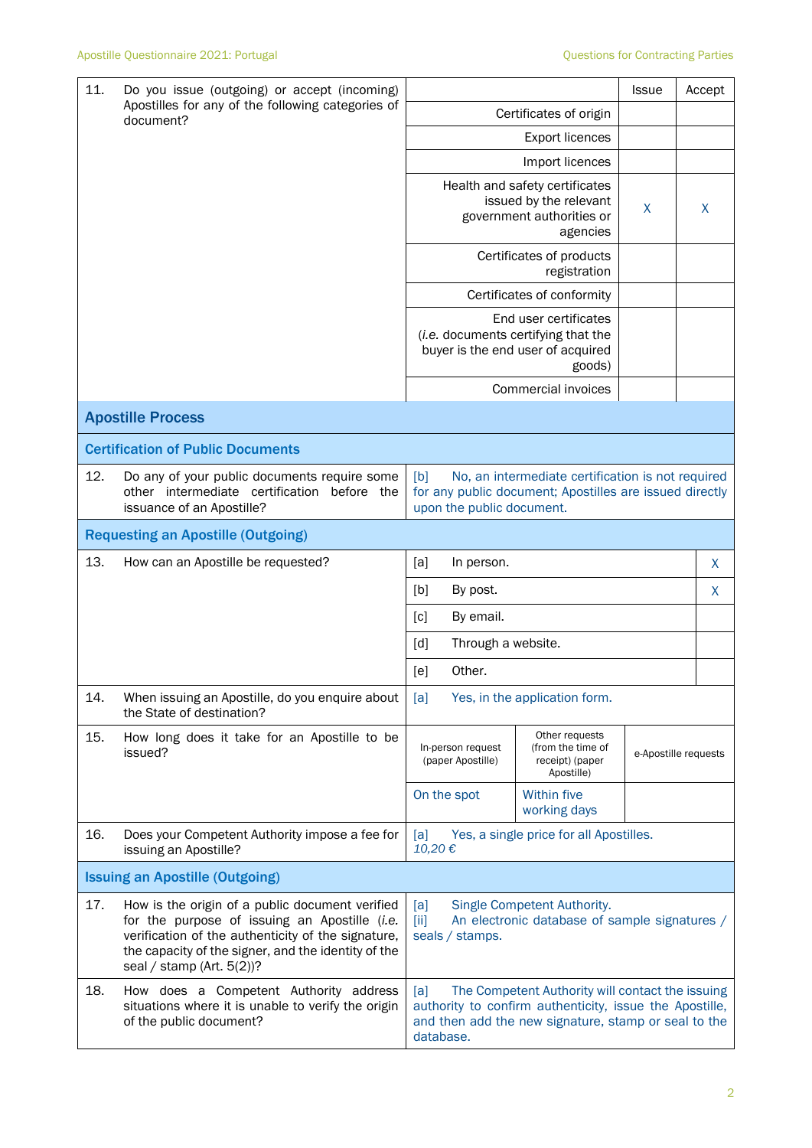| 11.                                                            | Do you issue (outgoing) or accept (incoming)                                                                                                                                                                                                  | <b>Issue</b><br>Accept                                                                                                                                                                  |                                                                                                             |                      |   |  |
|----------------------------------------------------------------|-----------------------------------------------------------------------------------------------------------------------------------------------------------------------------------------------------------------------------------------------|-----------------------------------------------------------------------------------------------------------------------------------------------------------------------------------------|-------------------------------------------------------------------------------------------------------------|----------------------|---|--|
| Apostilles for any of the following categories of<br>document? |                                                                                                                                                                                                                                               | Certificates of origin                                                                                                                                                                  |                                                                                                             |                      |   |  |
|                                                                |                                                                                                                                                                                                                                               | <b>Export licences</b>                                                                                                                                                                  |                                                                                                             |                      |   |  |
|                                                                |                                                                                                                                                                                                                                               | Import licences                                                                                                                                                                         |                                                                                                             |                      |   |  |
|                                                                |                                                                                                                                                                                                                                               |                                                                                                                                                                                         | Health and safety certificates<br>issued by the relevant<br>government authorities or<br>agencies           | X                    | X |  |
|                                                                |                                                                                                                                                                                                                                               |                                                                                                                                                                                         | Certificates of products<br>registration                                                                    |                      |   |  |
|                                                                |                                                                                                                                                                                                                                               |                                                                                                                                                                                         | Certificates of conformity                                                                                  |                      |   |  |
|                                                                |                                                                                                                                                                                                                                               |                                                                                                                                                                                         | End user certificates<br>(i.e. documents certifying that the<br>buyer is the end user of acquired<br>goods) |                      |   |  |
|                                                                |                                                                                                                                                                                                                                               |                                                                                                                                                                                         | Commercial invoices                                                                                         |                      |   |  |
|                                                                | <b>Apostille Process</b>                                                                                                                                                                                                                      |                                                                                                                                                                                         |                                                                                                             |                      |   |  |
|                                                                | <b>Certification of Public Documents</b>                                                                                                                                                                                                      |                                                                                                                                                                                         |                                                                                                             |                      |   |  |
| 12.                                                            | Do any of your public documents require some<br>other intermediate certification before the<br>issuance of an Apostille?                                                                                                                      | [b]<br>No, an intermediate certification is not required<br>for any public document; Apostilles are issued directly<br>upon the public document.                                        |                                                                                                             |                      |   |  |
|                                                                | <b>Requesting an Apostille (Outgoing)</b>                                                                                                                                                                                                     |                                                                                                                                                                                         |                                                                                                             |                      |   |  |
| 13.                                                            | How can an Apostille be requested?                                                                                                                                                                                                            | [a]<br>In person.                                                                                                                                                                       |                                                                                                             |                      | X |  |
|                                                                |                                                                                                                                                                                                                                               | [b]<br>By post.                                                                                                                                                                         |                                                                                                             |                      | X |  |
|                                                                |                                                                                                                                                                                                                                               | [c]<br>By email.                                                                                                                                                                        |                                                                                                             |                      |   |  |
|                                                                |                                                                                                                                                                                                                                               | Through a website.<br>[d]                                                                                                                                                               |                                                                                                             |                      |   |  |
|                                                                |                                                                                                                                                                                                                                               | Other.<br>[e]                                                                                                                                                                           |                                                                                                             |                      |   |  |
| 14.                                                            | When issuing an Apostille, do you enquire about<br>the State of destination?                                                                                                                                                                  | Yes, in the application form.<br>[a]                                                                                                                                                    |                                                                                                             |                      |   |  |
| 15.                                                            | How long does it take for an Apostille to be<br>issued?                                                                                                                                                                                       | In-person request<br>(paper Apostille)                                                                                                                                                  | Other requests<br>(from the time of<br>receipt) (paper<br>Apostille)                                        | e-Apostille requests |   |  |
|                                                                |                                                                                                                                                                                                                                               | On the spot                                                                                                                                                                             | Within five<br>working days                                                                                 |                      |   |  |
| 16.                                                            | Does your Competent Authority impose a fee for<br>issuing an Apostille?                                                                                                                                                                       | Yes, a single price for all Apostilles.<br>[a]<br>10,20€                                                                                                                                |                                                                                                             |                      |   |  |
|                                                                | <b>Issuing an Apostille (Outgoing)</b>                                                                                                                                                                                                        |                                                                                                                                                                                         |                                                                                                             |                      |   |  |
| 17.                                                            | How is the origin of a public document verified<br>for the purpose of issuing an Apostille (i.e.<br>verification of the authenticity of the signature,<br>the capacity of the signer, and the identity of the<br>seal / stamp (Art. $5(2)$ )? | Single Competent Authority.<br>[a]<br>An electronic database of sample signatures /<br>$\left[\text{iii}\right]$<br>seals / stamps.                                                     |                                                                                                             |                      |   |  |
| 18.                                                            | How does a Competent Authority address<br>situations where it is unable to verify the origin<br>of the public document?                                                                                                                       | [a]<br>The Competent Authority will contact the issuing<br>authority to confirm authenticity, issue the Apostille,<br>and then add the new signature, stamp or seal to the<br>database. |                                                                                                             |                      |   |  |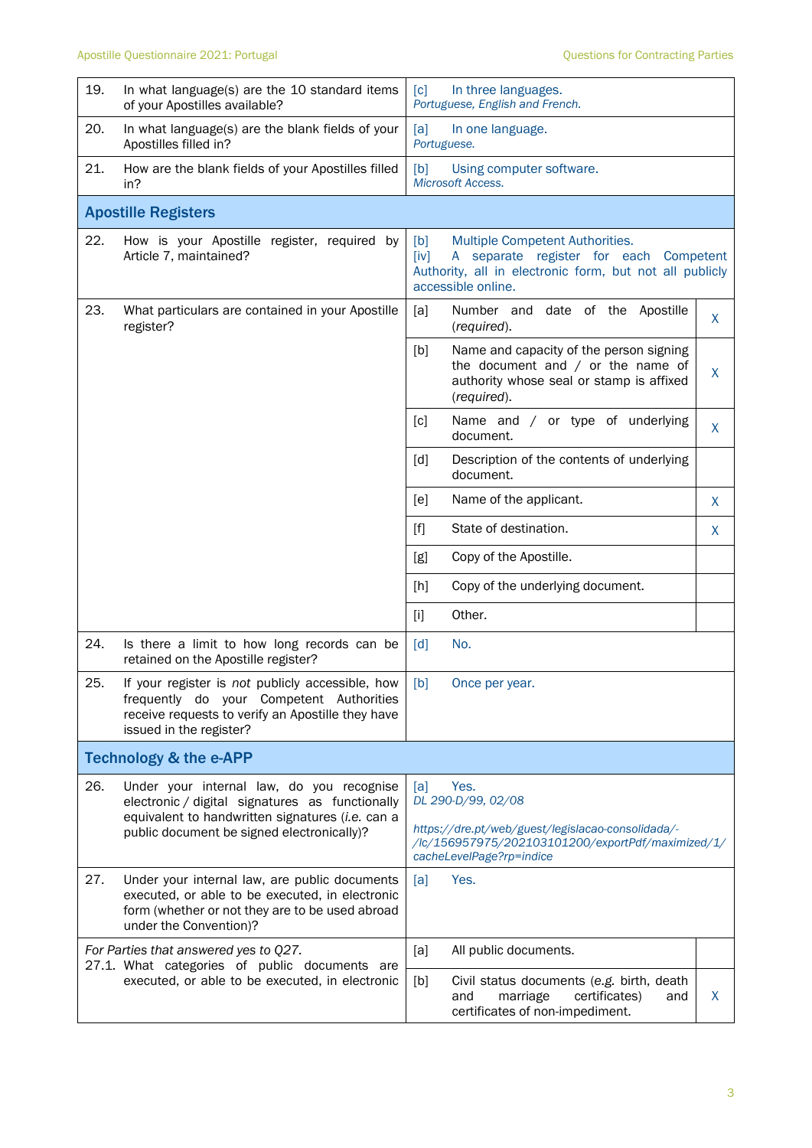| 19.                               | In what language(s) are the 10 standard items<br>of your Apostilles available?                                                                                                                 | [c]<br>In three languages.<br>Portuguese, English and French.                                                                                                             |    |  |  |
|-----------------------------------|------------------------------------------------------------------------------------------------------------------------------------------------------------------------------------------------|---------------------------------------------------------------------------------------------------------------------------------------------------------------------------|----|--|--|
| 20.                               | In what language(s) are the blank fields of your<br>Apostilles filled in?                                                                                                                      | [a]<br>In one language.<br>Portuguese.                                                                                                                                    |    |  |  |
| 21.                               | How are the blank fields of your Apostilles filled<br>in?                                                                                                                                      | [b]<br>Using computer software.<br><b>Microsoft Access.</b>                                                                                                               |    |  |  |
|                                   | <b>Apostille Registers</b>                                                                                                                                                                     |                                                                                                                                                                           |    |  |  |
| 22.                               | How is your Apostille register, required by<br>Article 7, maintained?                                                                                                                          | [b]<br>Multiple Competent Authorities.<br>A separate register for each Competent<br>[iv]<br>Authority, all in electronic form, but not all publicly<br>accessible online. |    |  |  |
| 23.                               | What particulars are contained in your Apostille<br>register?                                                                                                                                  | Number and date of the Apostille<br>[a]<br>(required).                                                                                                                    | X. |  |  |
|                                   |                                                                                                                                                                                                | [b]<br>Name and capacity of the person signing<br>the document and $/$ or the name of<br>authority whose seal or stamp is affixed<br>(required).                          | X. |  |  |
|                                   |                                                                                                                                                                                                | Name and / or type of underlying<br>[c]<br>document.                                                                                                                      | X  |  |  |
|                                   |                                                                                                                                                                                                | Description of the contents of underlying<br>$\lceil d \rceil$<br>document.                                                                                               |    |  |  |
|                                   |                                                                                                                                                                                                | Name of the applicant.<br>[e]                                                                                                                                             | X  |  |  |
|                                   |                                                                                                                                                                                                | State of destination.<br>$[f]$                                                                                                                                            | X  |  |  |
|                                   |                                                                                                                                                                                                | Copy of the Apostille.<br>[g]                                                                                                                                             |    |  |  |
|                                   |                                                                                                                                                                                                | Copy of the underlying document.<br>[h]                                                                                                                                   |    |  |  |
|                                   |                                                                                                                                                                                                | Other.<br>$[1]$                                                                                                                                                           |    |  |  |
| 24.                               | Is there a limit to how long records can be<br>retained on the Apostille register?                                                                                                             | [d]<br>No.                                                                                                                                                                |    |  |  |
| 25                                | If your register is not publicly accessible, how<br>frequently do your Competent Authorities<br>receive requests to verify an Apostille they have<br>issued in the register?                   | [b]<br>Once per year.                                                                                                                                                     |    |  |  |
| <b>Technology &amp; the e-APP</b> |                                                                                                                                                                                                |                                                                                                                                                                           |    |  |  |
| 26.                               | Under your internal law, do you recognise<br>electronic / digital signatures as functionally<br>equivalent to handwritten signatures (i.e. can a<br>public document be signed electronically)? | Yes.<br>[a]<br>DL 290-D/99, 02/08<br>https://dre.pt/web/guest/legislacao-consolidada/-<br>/lc/156957975/202103101200/exportPdf/maximized/1/<br>cacheLevelPage?rp=indice   |    |  |  |
| 27.                               | Under your internal law, are public documents<br>executed, or able to be executed, in electronic<br>form (whether or not they are to be used abroad<br>under the Convention)?                  | [a]<br>Yes.                                                                                                                                                               |    |  |  |
|                                   | For Parties that answered yes to Q27.<br>27.1. What categories of public documents are                                                                                                         | [a]<br>All public documents.                                                                                                                                              |    |  |  |
|                                   | executed, or able to be executed, in electronic                                                                                                                                                | [b]<br>Civil status documents (e.g. birth, death<br>marriage<br>certificates)<br>and<br>and<br>certificates of non-impediment.                                            | X  |  |  |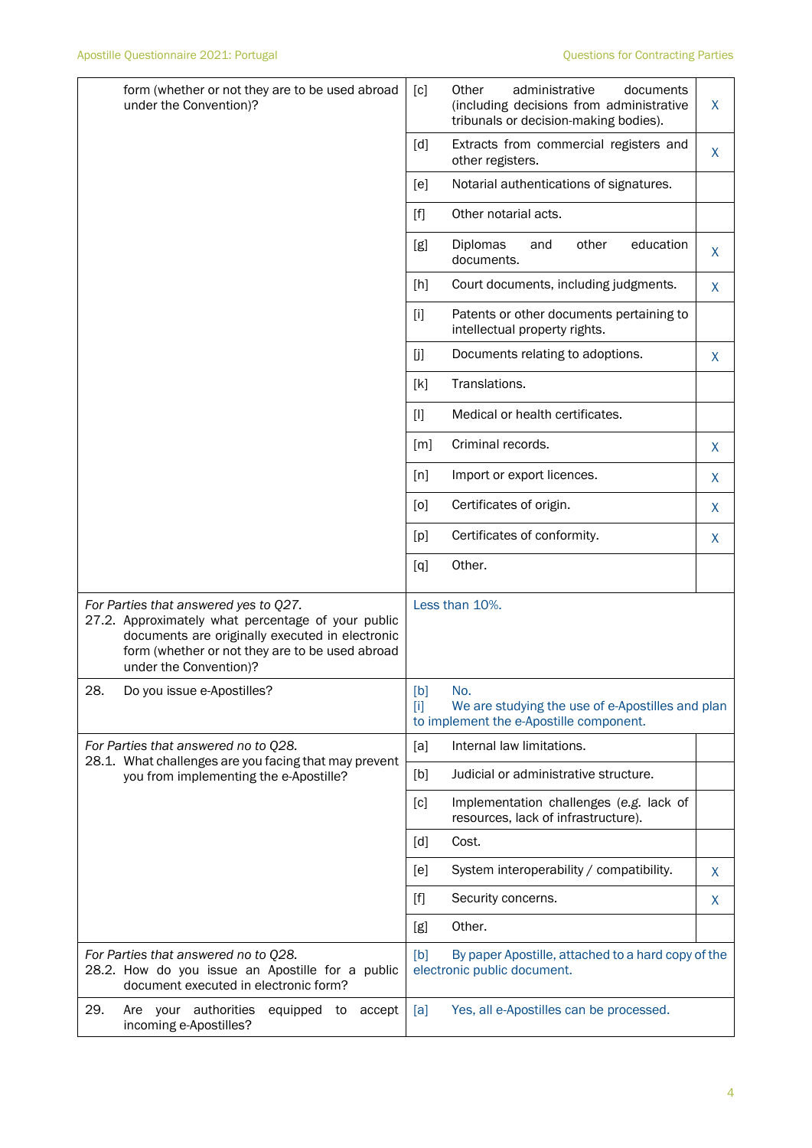|     | form (whether or not they are to be used abroad<br>under the Convention)?                                                                                                                                                   | [c]                                                                                                                                                                                                                                                   | administrative<br>Other<br>documents<br>(including decisions from administrative<br>tribunals or decision-making bodies). | X            |
|-----|-----------------------------------------------------------------------------------------------------------------------------------------------------------------------------------------------------------------------------|-------------------------------------------------------------------------------------------------------------------------------------------------------------------------------------------------------------------------------------------------------|---------------------------------------------------------------------------------------------------------------------------|--------------|
|     |                                                                                                                                                                                                                             | [d]                                                                                                                                                                                                                                                   | Extracts from commercial registers and<br>other registers.                                                                | $\mathsf{X}$ |
|     |                                                                                                                                                                                                                             | [e]                                                                                                                                                                                                                                                   | Notarial authentications of signatures.                                                                                   |              |
|     |                                                                                                                                                                                                                             | $[f] % \begin{center} % \includegraphics[width=\linewidth]{imagesSupplemental_3.png} % \end{center} % \caption { % Our method can be used for the use of the image. % Note that the \emph{Left:} \label{fig:case} \vspace{-1em} % \label{fig:case} %$ | Other notarial acts.                                                                                                      |              |
|     |                                                                                                                                                                                                                             | [g]                                                                                                                                                                                                                                                   | education<br>Diplomas<br>and<br>other<br>documents.                                                                       | X.           |
|     |                                                                                                                                                                                                                             | $[h]$                                                                                                                                                                                                                                                 | Court documents, including judgments.                                                                                     | X            |
|     |                                                                                                                                                                                                                             | $[1]$                                                                                                                                                                                                                                                 | Patents or other documents pertaining to<br>intellectual property rights.                                                 |              |
|     |                                                                                                                                                                                                                             | [j]                                                                                                                                                                                                                                                   | Documents relating to adoptions.                                                                                          | X            |
|     |                                                                                                                                                                                                                             | [k]                                                                                                                                                                                                                                                   | Translations.                                                                                                             |              |
|     |                                                                                                                                                                                                                             | $[1]$                                                                                                                                                                                                                                                 | Medical or health certificates.                                                                                           |              |
|     |                                                                                                                                                                                                                             | [m]                                                                                                                                                                                                                                                   | Criminal records.                                                                                                         | X            |
|     |                                                                                                                                                                                                                             | [n]                                                                                                                                                                                                                                                   | Import or export licences.                                                                                                | X            |
|     |                                                                                                                                                                                                                             | [0]                                                                                                                                                                                                                                                   | Certificates of origin.                                                                                                   | X            |
|     |                                                                                                                                                                                                                             | [p]                                                                                                                                                                                                                                                   | Certificates of conformity.                                                                                               | X            |
|     |                                                                                                                                                                                                                             | [q]                                                                                                                                                                                                                                                   | Other.                                                                                                                    |              |
|     | For Parties that answered yes to Q27.<br>27.2. Approximately what percentage of your public<br>documents are originally executed in electronic<br>form (whether or not they are to be used abroad<br>under the Convention)? |                                                                                                                                                                                                                                                       | Less than 10%.                                                                                                            |              |
| 28. | Do you issue e-Apostilles?                                                                                                                                                                                                  | [b]<br>$[1]$                                                                                                                                                                                                                                          | No.<br>We are studying the use of e-Apostilles and plan<br>to implement the e-Apostille component.                        |              |
|     | For Parties that answered no to Q28.                                                                                                                                                                                        | [a]                                                                                                                                                                                                                                                   | Internal law limitations.                                                                                                 |              |
|     | 28.1. What challenges are you facing that may prevent<br>you from implementing the e-Apostille?                                                                                                                             | [b]                                                                                                                                                                                                                                                   | Judicial or administrative structure.                                                                                     |              |
|     |                                                                                                                                                                                                                             | [c]                                                                                                                                                                                                                                                   | Implementation challenges (e.g. lack of<br>resources, lack of infrastructure).                                            |              |
|     |                                                                                                                                                                                                                             | [d]                                                                                                                                                                                                                                                   | Cost.                                                                                                                     |              |
|     |                                                                                                                                                                                                                             | [e]                                                                                                                                                                                                                                                   | System interoperability / compatibility.                                                                                  | X            |
|     |                                                                                                                                                                                                                             | $[f] % \begin{center} % \includegraphics[width=\linewidth]{imagesSupplemental_3.png} % \end{center} % \caption { % Our method can be used for the use of the image. % } % \label{fig:example} %$                                                      | Security concerns.                                                                                                        | X            |
|     |                                                                                                                                                                                                                             | [g]                                                                                                                                                                                                                                                   | Other.                                                                                                                    |              |
|     | For Parties that answered no to Q28.<br>28.2. How do you issue an Apostille for a public<br>document executed in electronic form?                                                                                           | [b]                                                                                                                                                                                                                                                   | By paper Apostille, attached to a hard copy of the<br>electronic public document.                                         |              |
| 29. | Are your authorities<br>equipped<br>accept<br>to<br>incoming e-Apostilles?                                                                                                                                                  | [a]                                                                                                                                                                                                                                                   | Yes, all e-Apostilles can be processed.                                                                                   |              |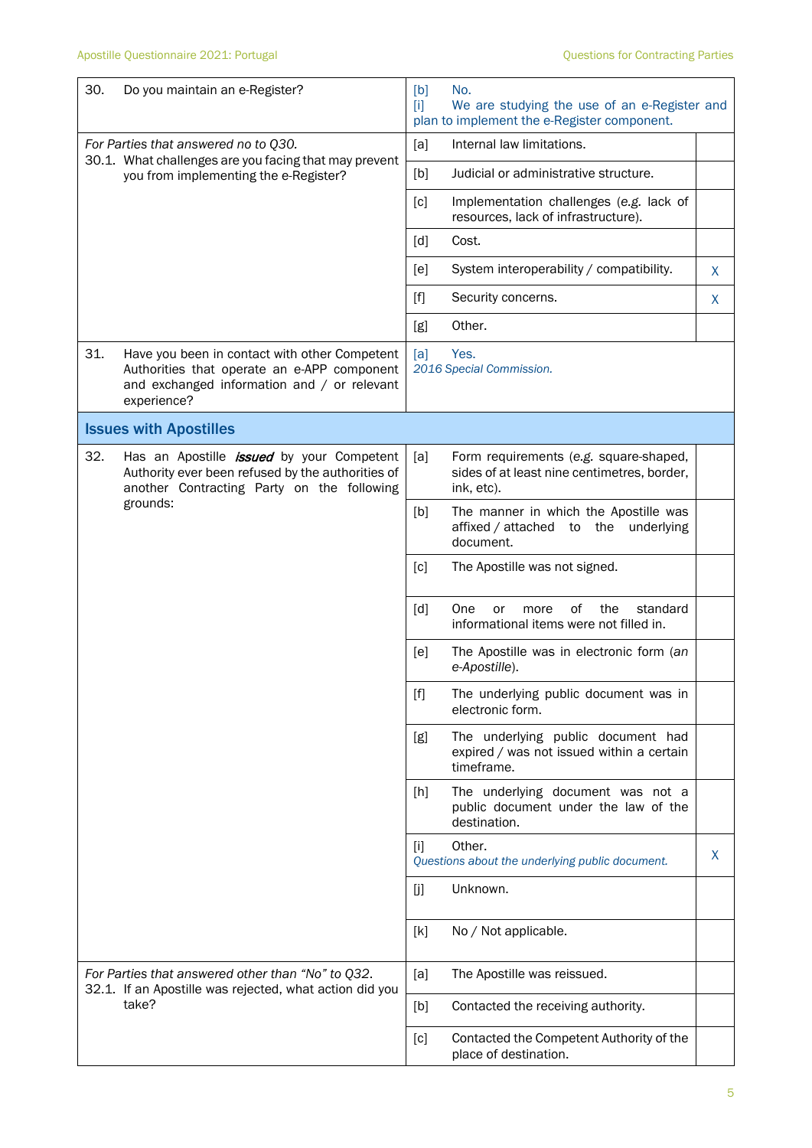| 30.                                  | Do you maintain an e-Register?                                                                                                                                  | [b]<br>m          | No.<br>We are studying the use of an e-Register and<br>plan to implement the e-Register component.  |    |
|--------------------------------------|-----------------------------------------------------------------------------------------------------------------------------------------------------------------|-------------------|-----------------------------------------------------------------------------------------------------|----|
| For Parties that answered no to Q30. |                                                                                                                                                                 | [a]               | Internal law limitations.                                                                           |    |
|                                      | 30.1. What challenges are you facing that may prevent<br>you from implementing the e-Register?                                                                  | [b]               | Judicial or administrative structure.                                                               |    |
|                                      |                                                                                                                                                                 | [c]               | Implementation challenges (e.g. lack of<br>resources, lack of infrastructure).                      |    |
|                                      |                                                                                                                                                                 | [d]               | Cost.                                                                                               |    |
|                                      |                                                                                                                                                                 | [e]               | System interoperability / compatibility.                                                            | X. |
|                                      |                                                                                                                                                                 | $[f]$             | Security concerns.                                                                                  | X  |
|                                      |                                                                                                                                                                 | [g]               | Other.                                                                                              |    |
| 31.                                  | Have you been in contact with other Competent<br>Authorities that operate an e-APP component<br>and exchanged information and / or relevant<br>experience?      | [a]               | Yes.<br>2016 Special Commission.                                                                    |    |
|                                      | <b>Issues with Apostilles</b>                                                                                                                                   |                   |                                                                                                     |    |
| 32.                                  | Has an Apostille <i>issued</i> by your Competent<br>Authority ever been refused by the authorities of<br>another Contracting Party on the following<br>grounds: | [a]               | Form requirements (e.g. square-shaped,<br>sides of at least nine centimetres, border,<br>ink, etc). |    |
|                                      |                                                                                                                                                                 | [b]               | The manner in which the Apostille was<br>affixed / attached to the underlying<br>document.          |    |
|                                      |                                                                                                                                                                 | [c]               | The Apostille was not signed.                                                                       |    |
|                                      |                                                                                                                                                                 | $\lceil d \rceil$ | One<br>0f<br>the<br>standard<br>more<br>or<br>informational items were not filled in.               |    |
|                                      |                                                                                                                                                                 | [e]               | The Apostille was in electronic form (an<br>e-Apostille).                                           |    |
|                                      |                                                                                                                                                                 | [f]               | The underlying public document was in<br>electronic form.                                           |    |
|                                      |                                                                                                                                                                 | [g]               | The underlying public document had<br>expired / was not issued within a certain<br>timeframe.       |    |
|                                      |                                                                                                                                                                 | [h]               | The underlying document was not a<br>public document under the law of the<br>destination.           |    |
|                                      |                                                                                                                                                                 | [i]               | Other.<br>Questions about the underlying public document.                                           | X  |
|                                      |                                                                                                                                                                 | [j]               | Unknown.                                                                                            |    |
|                                      |                                                                                                                                                                 | [k]               | No / Not applicable.                                                                                |    |
|                                      | For Parties that answered other than "No" to Q32.<br>32.1. If an Apostille was rejected, what action did you<br>take?                                           | [a]               | The Apostille was reissued.                                                                         |    |
|                                      |                                                                                                                                                                 | [b]               | Contacted the receiving authority.                                                                  |    |
|                                      |                                                                                                                                                                 | [c]               | Contacted the Competent Authority of the<br>place of destination.                                   |    |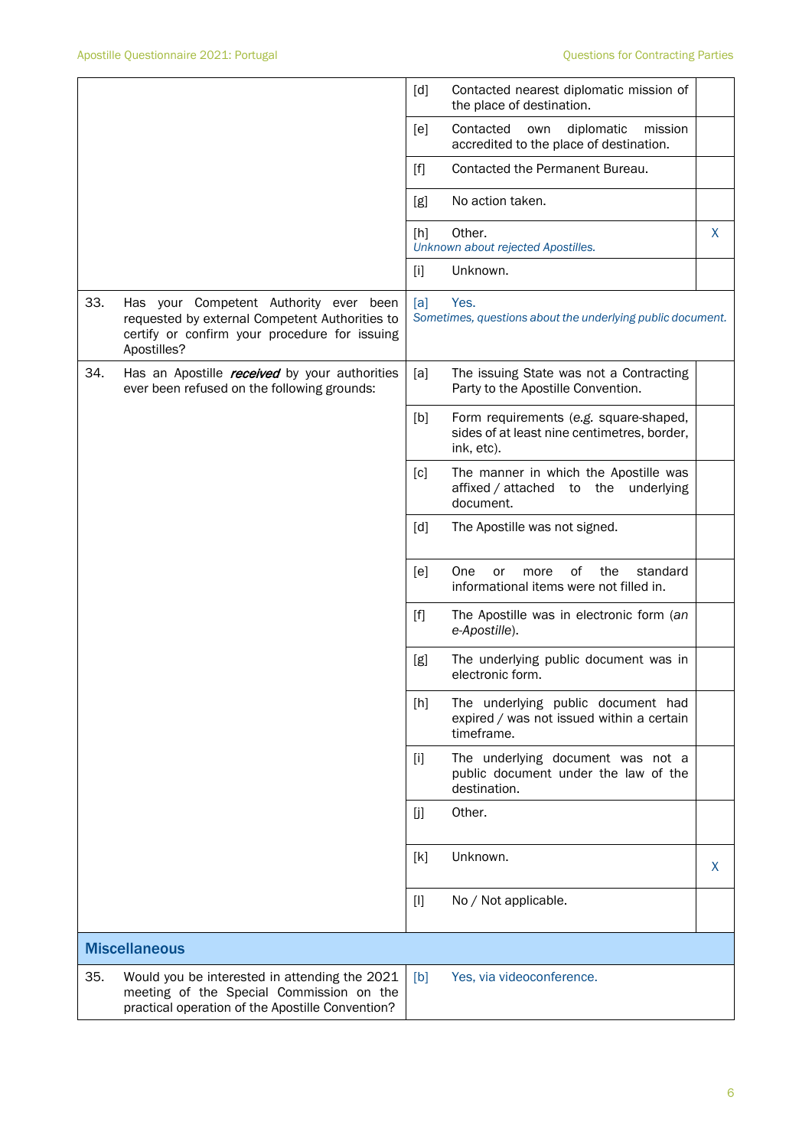|     |                                                                                                                                                          | [d]              | Contacted nearest diplomatic mission of<br>the place of destination.                                |   |
|-----|----------------------------------------------------------------------------------------------------------------------------------------------------------|------------------|-----------------------------------------------------------------------------------------------------|---|
|     |                                                                                                                                                          | [e]              | Contacted<br>diplomatic<br>own<br>mission<br>accredited to the place of destination.                |   |
|     |                                                                                                                                                          | [f]              | Contacted the Permanent Bureau.                                                                     |   |
|     |                                                                                                                                                          | [g]              | No action taken.                                                                                    |   |
|     |                                                                                                                                                          | [h]              | Other.<br>Unknown about rejected Apostilles.                                                        | X |
|     |                                                                                                                                                          | $[1]$            | Unknown.                                                                                            |   |
| 33. | Has your Competent Authority ever been<br>requested by external Competent Authorities to<br>certify or confirm your procedure for issuing<br>Apostilles? | [a]              | Yes.<br>Sometimes, questions about the underlying public document.                                  |   |
| 34. | Has an Apostille <i>received</i> by your authorities<br>ever been refused on the following grounds:                                                      | [a]              | The issuing State was not a Contracting<br>Party to the Apostille Convention.                       |   |
|     |                                                                                                                                                          | [b]              | Form requirements (e.g. square-shaped,<br>sides of at least nine centimetres, border,<br>ink, etc). |   |
|     |                                                                                                                                                          | [c]              | The manner in which the Apostille was<br>affixed / attached to the underlying<br>document.          |   |
|     |                                                                                                                                                          | [d]              | The Apostille was not signed.                                                                       |   |
|     |                                                                                                                                                          | [ <sub>e</sub> ] | One<br>of<br>the<br>standard<br>more<br>or<br>informational items were not filled in.               |   |
|     |                                                                                                                                                          | $[f]$            | The Apostille was in electronic form (an<br>e-Apostille).                                           |   |
|     |                                                                                                                                                          | [g]              | The underlying public document was in<br>electronic form.                                           |   |
|     |                                                                                                                                                          | [h]              | The underlying public document had<br>expired / was not issued within a certain<br>timeframe.       |   |
|     |                                                                                                                                                          | $[1]$            | The underlying document was not a<br>public document under the law of the<br>destination.           |   |
|     |                                                                                                                                                          | [j]              | Other.                                                                                              |   |
|     |                                                                                                                                                          | [k]              | Unknown.                                                                                            | X |
|     |                                                                                                                                                          | $[]$             | No / Not applicable.                                                                                |   |
|     | <b>Miscellaneous</b>                                                                                                                                     |                  |                                                                                                     |   |
| 35. | Would you be interested in attending the 2021<br>meeting of the Special Commission on the<br>practical operation of the Apostille Convention?            | [b]              | Yes, via videoconference.                                                                           |   |